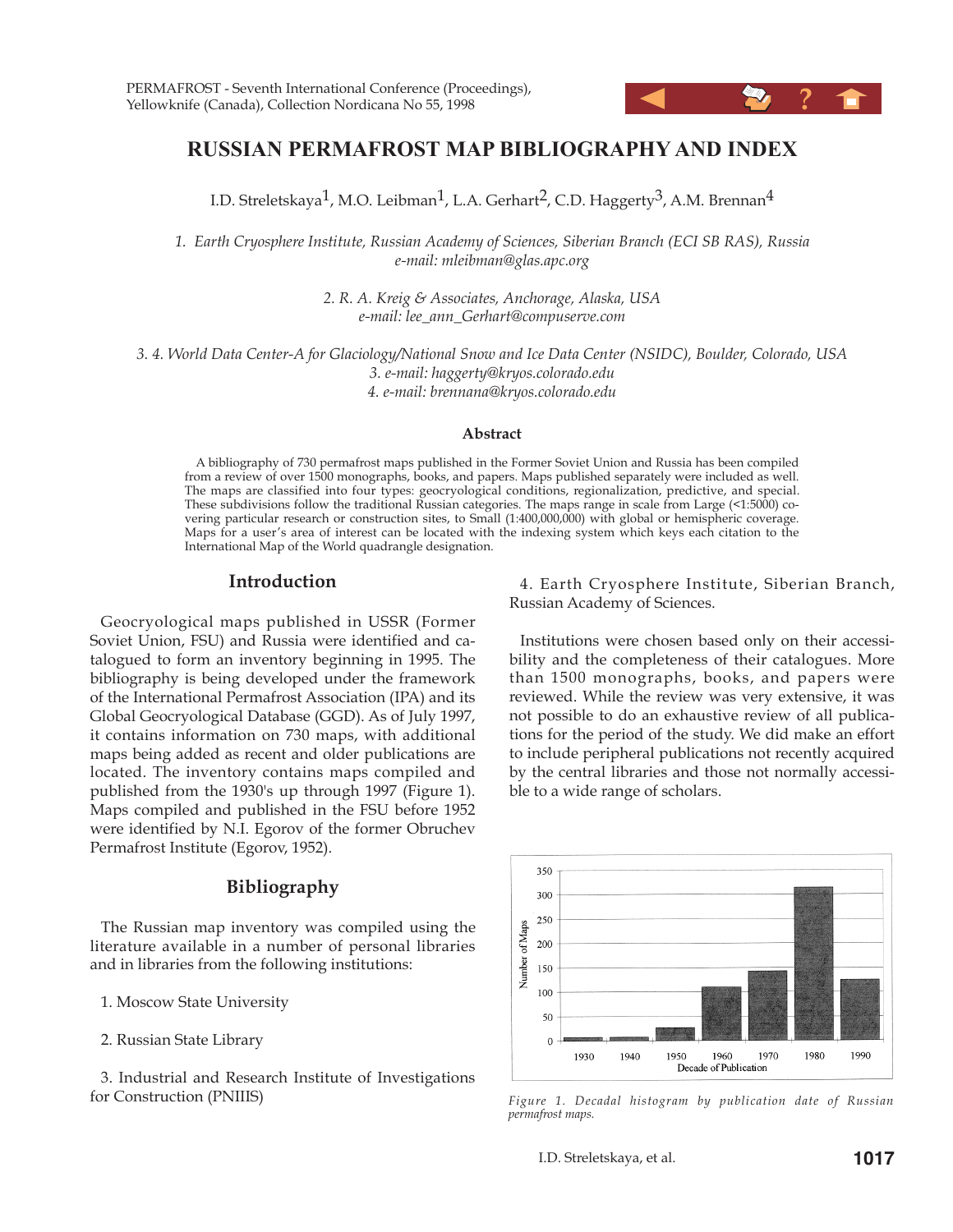

# **RUSSIAN PERMAFROST MAP BIBLIOGRAPHY AND INDEX**

I.D. Streletskaya<sup>1</sup>, M.O. Leibman<sup>1</sup>, L.A. Gerhart<sup>2</sup>, C.D. Haggerty<sup>3</sup>, A.M. Brennan<sup>4</sup>

*1. Earth Cryosphere Institute, Russian Academy of Sciences, Siberian Branch (ECI SB RAS), Russia e-mail: mleibman@glas.apc.org*

> *2. R. A. Kreig & Associates, Anchorage, Alaska, USA e-mail: lee\_ann\_Gerhart@compuserve.com*

*3. 4. World Data Center-A for Glaciology/National Snow and Ice Data Center (NSIDC), Boulder, Colorado, USA 3. e-mail: haggerty@kryos.colorado.edu 4. e-mail: brennana@kryos.colorado.edu*

#### **Abstract**

A bibliography of 730 permafrost maps published in the Former Soviet Union and Russia has been compiled from a review of over 1500 monographs, books, and papers. Maps published separately were included as well. The maps are classified into four types: geocryological conditions, regionalization, predictive, and special. These subdivisions follow the traditional Russian categories. The maps range in scale from Large (<1:5000) covering particular research or construction sites, to Small (1:400,000,000) with global or hemispheric coverage. Maps for a user's area of interest can be located with the indexing system which keys each citation to the International Map of the World quadrangle designation.

#### **Introduction**

Geocryological maps published in USSR (Former Soviet Union, FSU) and Russia were identified and catalogued to form an inventory beginning in 1995. The bibliography is being developed under the framework of the International Permafrost Association (IPA) and its Global Geocryological Database (GGD). As of July 1997, it contains information on 730 maps, with additional maps being added as recent and older publications are located. The inventory contains maps compiled and published from the 1930's up through 1997 (Figure 1). Maps compiled and published in the FSU before 1952 were identified by N.I. Egorov of the former Obruchev Permafrost Institute (Egorov, 1952).

#### **Bibliography**

The Russian map inventory was compiled using the literature available in a number of personal libraries and in libraries from the following institutions:

1. Moscow State University

2. Russian State Library

3. Industrial and Research Institute of Investigations for Construction (PNIIIS)

4. Earth Cryosphere Institute, Siberian Branch, Russian Academy of Sciences.

Institutions were chosen based only on their accessibility and the completeness of their catalogues. More than 1500 monographs, books, and papers were reviewed. While the review was very extensive, it was not possible to do an exhaustive review of all publications for the period of the study. We did make an effort to include peripheral publications not recently acquired by the central libraries and those not normally accessible to a wide range of scholars.



*Figure 1. Decadal histogram by publication date of Russian permafrost maps.*

I.D. Streletskaya, et al. **1017**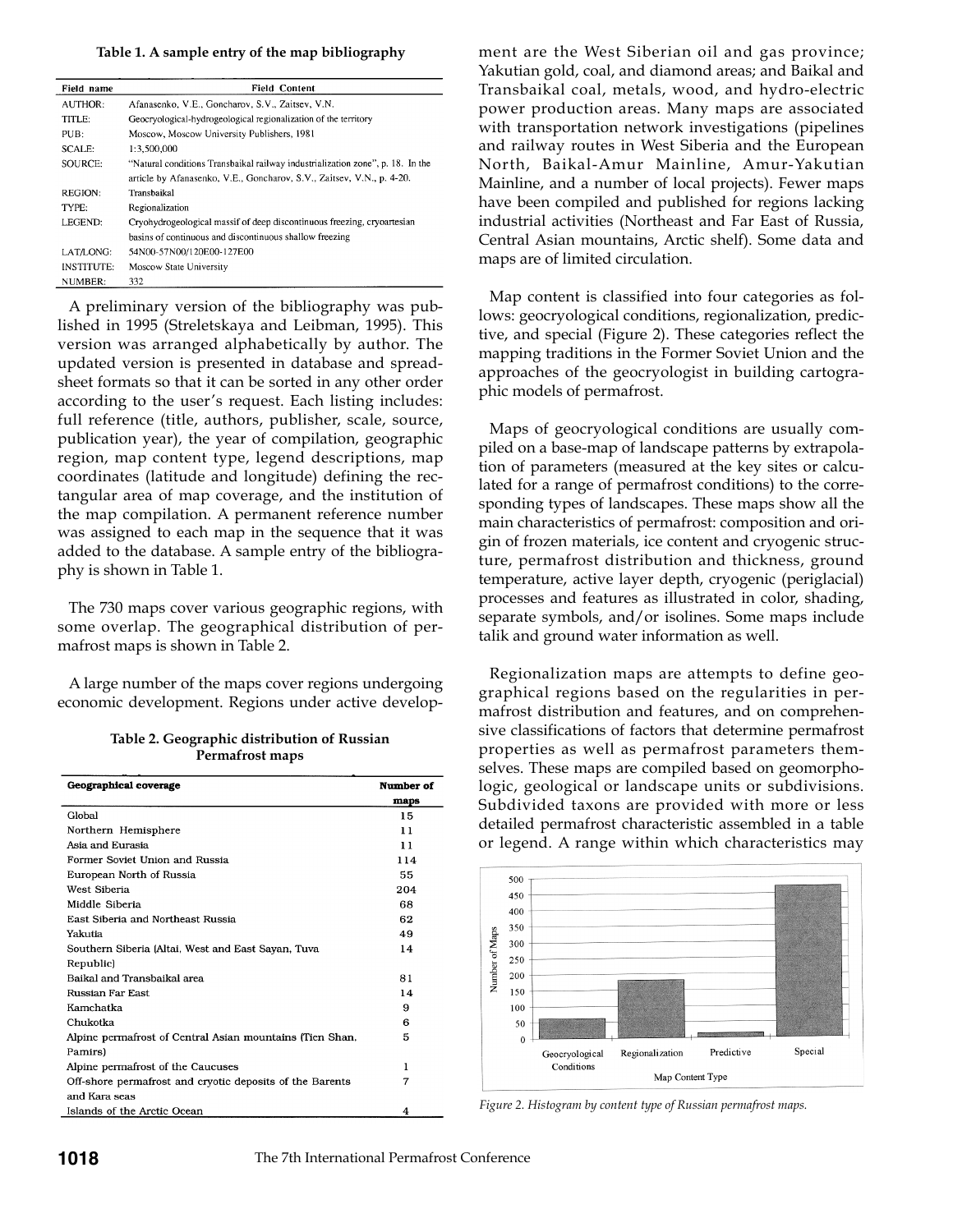#### **Table 1. A sample entry of the map bibliography**

| Field name        | <b>Field Content</b>                                                           |
|-------------------|--------------------------------------------------------------------------------|
| <b>AUTHOR:</b>    | Afanasenko, V.E., Goncharov, S.V., Zaitsev, V.N.                               |
| TITLE:            | Geocryological-hydrogeological regionalization of the territory                |
| PUB:              | Moscow, Moscow University Publishers, 1981                                     |
| SCALE:            | 1:3.500.000                                                                    |
| SOURCE:           | "Natural conditions Transbaikal railway industrialization zone", p. 18. In the |
|                   | article by Afanasenko, V.E., Goncharov, S.V., Zaitsev, V.N., p. 4-20.          |
| <b>REGION:</b>    | Transbaikal                                                                    |
| TYPE:             | Regionalization                                                                |
| LEGEND:           | Cryohydrogeological massif of deep discontinuous freezing, cryoartesian        |
|                   | basins of continuous and discontinuous shallow freezing                        |
| LAT/LONG:         | 54N00-57N00/120E00-127E00                                                      |
| <b>INSTITUTE:</b> | Moscow State University                                                        |
| NUMBER:           | 332                                                                            |

A preliminary version of the bibliography was published in 1995 (Streletskaya and Leibman, 1995). This version was arranged alphabetically by author. The updated version is presented in database and spreadsheet formats so that it can be sorted in any other order according to the user's request. Each listing includes: full reference (title, authors, publisher, scale, source, publication year), the year of compilation, geographic region, map content type, legend descriptions, map coordinates (latitude and longitude) defining the rectangular area of map coverage, and the institution of the map compilation. A permanent reference number was assigned to each map in the sequence that it was added to the database. A sample entry of the bibliography is shown in Table 1.

The 730 maps cover various geographic regions, with some overlap. The geographical distribution of permafrost maps is shown in Table 2.

A large number of the maps cover regions undergoing economic development. Regions under active develop-

| Table 2. Geographic distribution of Russian |  |
|---------------------------------------------|--|
| Permafrost maps                             |  |

| <b>Geographical coverage</b>                             | Number of |
|----------------------------------------------------------|-----------|
|                                                          | maps      |
| Global                                                   | 15        |
| Northern Hemisphere                                      | 11        |
| Asia and Eurasia                                         | 11        |
| Former Soviet Union and Russia                           | 114       |
| European North of Russia                                 | 55        |
| West Siberia                                             | 204       |
| Middle Siberia                                           | 68        |
| East Siberia and Northeast Russia                        | 62        |
| Yakutia                                                  | 49        |
| Southern Siberia (Altai, West and East Savan, Tuva       | 14        |
| Republic)                                                |           |
| Baikal and Transbaikal area                              | 81        |
| Russian Far East                                         | 14        |
| Kamchatka                                                | 9         |
| Chukotka                                                 | 6         |
| Alpine permafrost of Central Asian mountains (Tien Shan, | 5         |
| Pamirs)                                                  |           |
| Alpine permafrost of the Caucuses                        | 1         |
| Off-shore permafrost and cryotic deposits of the Barents | 7         |
| and Kara seas                                            |           |
| Islands of the Arctic Ocean                              | 4         |

ment are the West Siberian oil and gas province; Yakutian gold, coal, and diamond areas; and Baikal and Transbaikal coal, metals, wood, and hydro-electric power production areas. Many maps are associated with transportation network investigations (pipelines and railway routes in West Siberia and the European North, Baikal-Amur Mainline, Amur-Yakutian Mainline, and a number of local projects). Fewer maps have been compiled and published for regions lacking industrial activities (Northeast and Far East of Russia, Central Asian mountains, Arctic shelf). Some data and maps are of limited circulation.

Map content is classified into four categories as follows: geocryological conditions, regionalization, predictive, and special (Figure 2). These categories reflect the mapping traditions in the Former Soviet Union and the approaches of the geocryologist in building cartographic models of permafrost.

Maps of geocryological conditions are usually compiled on a base-map of landscape patterns by extrapolation of parameters (measured at the key sites or calculated for a range of permafrost conditions) to the corresponding types of landscapes. These maps show all the main characteristics of permafrost: composition and origin of frozen materials, ice content and cryogenic structure, permafrost distribution and thickness, ground temperature, active layer depth, cryogenic (periglacial) processes and features as illustrated in color, shading, separate symbols, and/or isolines. Some maps include talik and ground water information as well.

Regionalization maps are attempts to define geographical regions based on the regularities in permafrost distribution and features, and on comprehensive classifications of factors that determine permafrost properties as well as permafrost parameters themselves. These maps are compiled based on geomorphologic, geological or landscape units or subdivisions. Subdivided taxons are provided with more or less detailed permafrost characteristic assembled in a table or legend. A range within which characteristics may



*Figure 2. Histogram by content type of Russian permafrost maps.*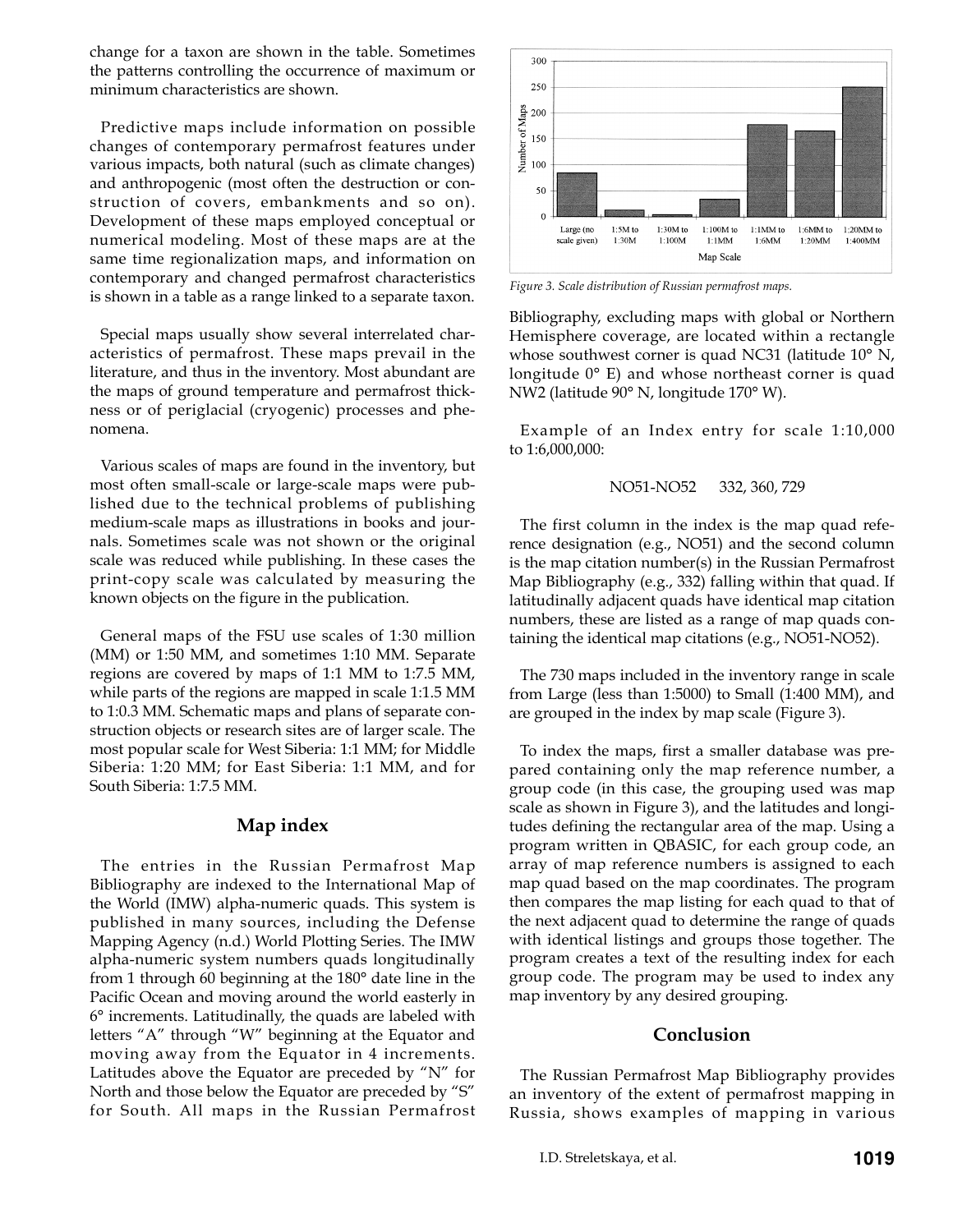change for a taxon are shown in the table. Sometimes the patterns controlling the occurrence of maximum or minimum characteristics are shown.

Predictive maps include information on possible changes of contemporary permafrost features under various impacts, both natural (such as climate changes) and anthropogenic (most often the destruction or construction of covers, embankments and so on). Development of these maps employed conceptual or numerical modeling. Most of these maps are at the same time regionalization maps, and information on contemporary and changed permafrost characteristics is shown in a table as a range linked to a separate taxon.

Special maps usually show several interrelated characteristics of permafrost. These maps prevail in the literature, and thus in the inventory. Most abundant are the maps of ground temperature and permafrost thickness or of periglacial (cryogenic) processes and phenomena.

Various scales of maps are found in the inventory, but most often small-scale or large-scale maps were published due to the technical problems of publishing medium-scale maps as illustrations in books and journals. Sometimes scale was not shown or the original scale was reduced while publishing. In these cases the print-copy scale was calculated by measuring the known objects on the figure in the publication.

General maps of the FSU use scales of 1:30 million (MM) or 1:50 MM, and sometimes 1:10 MM. Separate regions are covered by maps of 1:1 MM to 1:7.5 MM, while parts of the regions are mapped in scale 1:1.5 MM to 1:0.3 MM. Schematic maps and plans of separate construction objects or research sites are of larger scale. The most popular scale for West Siberia: 1:1 MM; for Middle Siberia: 1:20 MM; for East Siberia: 1:1 MM, and for South Siberia: 1:7.5 MM.

## **Map index**

The entries in the Russian Permafrost Map Bibliography are indexed to the International Map of the World (IMW) alpha-numeric quads. This system is published in many sources, including the Defense Mapping Agency (n.d.) World Plotting Series. The IMW alpha-numeric system numbers quads longitudinally from 1 through 60 beginning at the 180° date line in the Pacific Ocean and moving around the world easterly in 6° increments. Latitudinally, the quads are labeled with letters "A" through "W" beginning at the Equator and moving away from the Equator in 4 increments. Latitudes above the Equator are preceded by "N" for North and those below the Equator are preceded by "S" for South. All maps in the Russian Permafrost



*Figure 3. Scale distribution of Russian permafrost maps.*

Bibliography, excluding maps with global or Northern Hemisphere coverage, are located within a rectangle whose southwest corner is quad NC31 (latitude 10° N, longitude 0° E) and whose northeast corner is quad NW2 (latitude 90° N, longitude 170° W).

Example of an Index entry for scale 1:10,000 to 1:6,000,000:

#### NO51-NO52 332, 360, 729

The first column in the index is the map quad reference designation (e.g., NO51) and the second column is the map citation number(s) in the Russian Permafrost Map Bibliography (e.g., 332) falling within that quad. If latitudinally adjacent quads have identical map citation numbers, these are listed as a range of map quads containing the identical map citations (e.g., NO51-NO52).

The 730 maps included in the inventory range in scale from Large (less than 1:5000) to Small (1:400 MM), and are grouped in the index by map scale (Figure 3).

To index the maps, first a smaller database was prepared containing only the map reference number, a group code (in this case, the grouping used was map scale as shown in Figure 3), and the latitudes and longitudes defining the rectangular area of the map. Using a program written in QBASIC, for each group code, an array of map reference numbers is assigned to each map quad based on the map coordinates. The program then compares the map listing for each quad to that of the next adjacent quad to determine the range of quads with identical listings and groups those together. The program creates a text of the resulting index for each group code. The program may be used to index any map inventory by any desired grouping.

## **Conclusion**

The Russian Permafrost Map Bibliography provides an inventory of the extent of permafrost mapping in Russia, shows examples of mapping in various